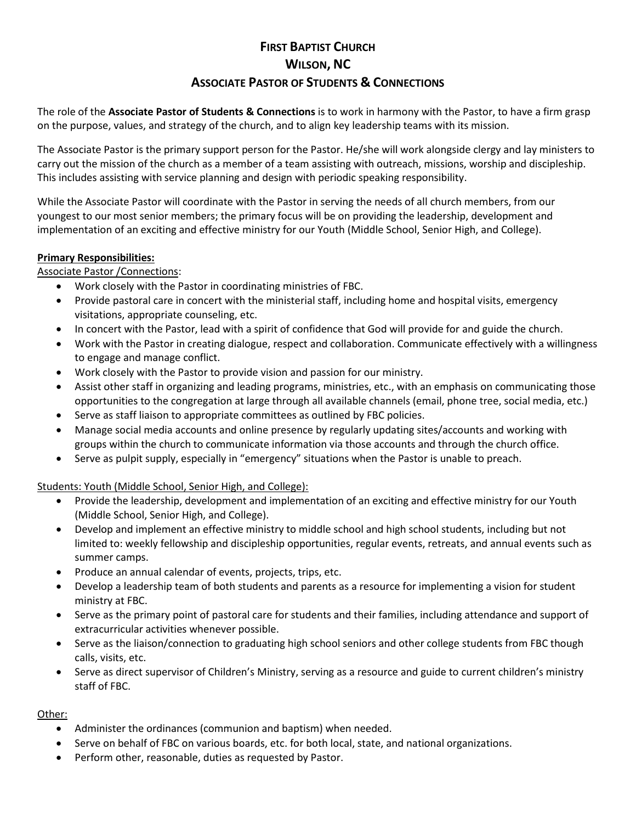## **FIRST BAPTIST CHURCH WILSON, NC ASSOCIATE PASTOR OF STUDENTS & CONNECTIONS**

The role of the **Associate Pastor of Students & Connections** is to work in harmony with the Pastor, to have a firm grasp on the purpose, values, and strategy of the church, and to align key leadership teams with its mission.

The Associate Pastor is the primary support person for the Pastor. He/she will work alongside clergy and lay ministers to carry out the mission of the church as a member of a team assisting with outreach, missions, worship and discipleship. This includes assisting with service planning and design with periodic speaking responsibility.

While the Associate Pastor will coordinate with the Pastor in serving the needs of all church members, from our youngest to our most senior members; the primary focus will be on providing the leadership, development and implementation of an exciting and effective ministry for our Youth (Middle School, Senior High, and College).

## **Primary Responsibilities:**

Associate Pastor /Connections:

- Work closely with the Pastor in coordinating ministries of FBC.
- Provide pastoral care in concert with the ministerial staff, including home and hospital visits, emergency visitations, appropriate counseling, etc.
- In concert with the Pastor, lead with a spirit of confidence that God will provide for and guide the church.
- Work with the Pastor in creating dialogue, respect and collaboration. Communicate effectively with a willingness to engage and manage conflict.
- Work closely with the Pastor to provide vision and passion for our ministry.
- Assist other staff in organizing and leading programs, ministries, etc., with an emphasis on communicating those opportunities to the congregation at large through all available channels (email, phone tree, social media, etc.)
- Serve as staff liaison to appropriate committees as outlined by FBC policies.
- Manage social media accounts and online presence by regularly updating sites/accounts and working with groups within the church to communicate information via those accounts and through the church office.
- Serve as pulpit supply, especially in "emergency" situations when the Pastor is unable to preach.

Students: Youth (Middle School, Senior High, and College):

- Provide the leadership, development and implementation of an exciting and effective ministry for our Youth (Middle School, Senior High, and College).
- Develop and implement an effective ministry to middle school and high school students, including but not limited to: weekly fellowship and discipleship opportunities, regular events, retreats, and annual events such as summer camps.
- Produce an annual calendar of events, projects, trips, etc.
- Develop a leadership team of both students and parents as a resource for implementing a vision for student ministry at FBC.
- Serve as the primary point of pastoral care for students and their families, including attendance and support of extracurricular activities whenever possible.
- Serve as the liaison/connection to graduating high school seniors and other college students from FBC though calls, visits, etc.
- Serve as direct supervisor of Children's Ministry, serving as a resource and guide to current children's ministry staff of FBC.

Other:

- Administer the ordinances (communion and baptism) when needed.
- Serve on behalf of FBC on various boards, etc. for both local, state, and national organizations.
- Perform other, reasonable, duties as requested by Pastor.